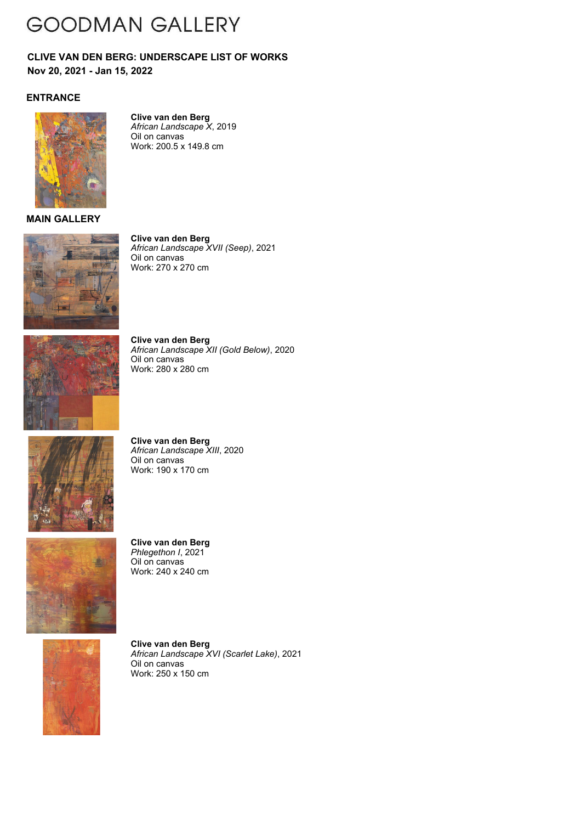## **GOODMAN GALLERY**

**Nov 20, 2021 - Jan 15, 2022 CLIVE VAN DEN BERG: UNDERSCAPE LIST OF WORKS**

### **ENTRANCE**



**Clive van den Berg** *African Landscape X*, 2019 Oil on canvas Work: 200.5 x 149.8 cm

#### **MAIN GALLERY**



**Clive van den Berg** *African Landscape XVII (Seep)*, 2021 Oil on canvas Work: 270 x 270 cm



**Clive van den Berg** *African Landscape XII (Gold Below)*, 2020 Oil on canvas Work: 280 x 280 cm



**Clive van den Berg** *African Landscape XIII*, 2020 Oil on canvas Work: 190 x 170 cm



**Clive van den Berg** *Phlegethon I*, 2021 Oil on canvas Work: 240 x 240 cm



**Clive van den Berg** *African Landscape XVI (Scarlet Lake)*, 2021 Oil on canvas Work: 250 x 150 cm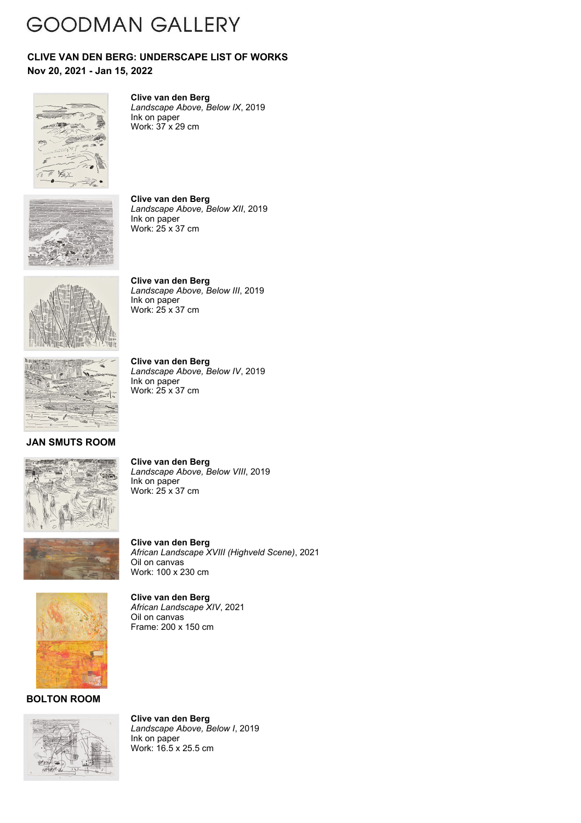## **GOODMAN GALLERY**

#### **Nov 20, 2021 - Jan 15, 2022 CLIVE VAN DEN BERG: UNDERSCAPE LIST OF WORKS**



**Clive van den Berg** *Landscape Above, Below IX*, 2019 Ink on paper

Work: 37 x 29 cm



**Clive van den Berg** *Landscape Above, Below XII*, 2019 Ink on paper Work: 25 x 37 cm



**Clive van den Berg** *Landscape Above, Below III*, 2019 Ink on paper Work: 25 x 37 cm

*Landscape Above, Below IV*, 2019

**Clive van den Berg**

Ink on paper Work: 25 x 37 cm



**JAN SMUTS ROOM**



**Clive van den Berg** *Landscape Above, Below VIII*, 2019 Ink on paper Work: 25 x 37 cm

**Clive van den Berg** *African Landscape XVIII (Highveld Scene)*, 2021 Oil on canvas Work: 100 x 230 cm



**Clive van den Berg** *African Landscape XIV*, 2021 Oil on canvas Frame: 200 x 150 cm

**BOLTON ROOM**



**Clive van den Berg** *Landscape Above, Below I*, 2019 Ink on paper Work: 16.5 x 25.5 cm